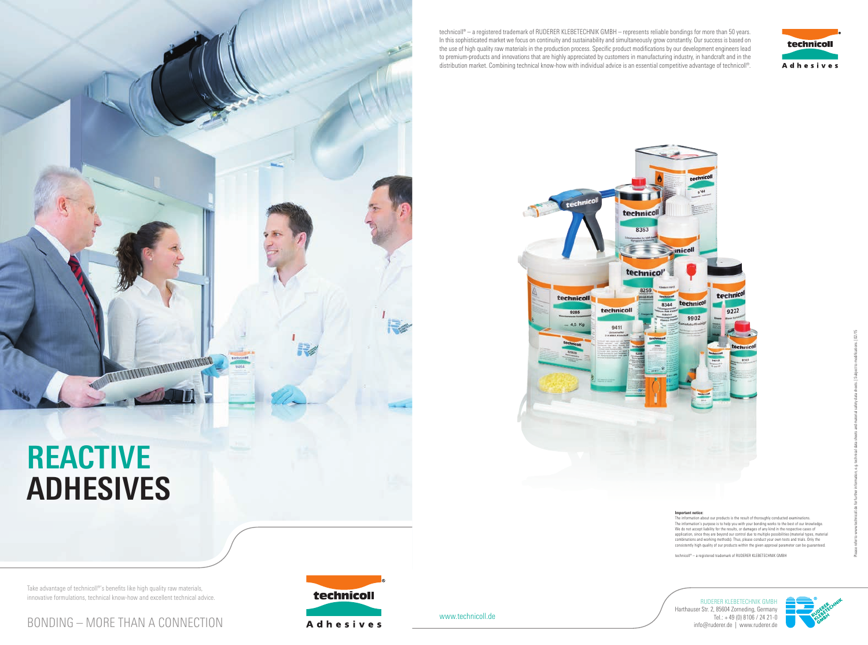## **REACTIVE ADHESIVES**

**MARITAN DE L'ANTIQUE DE L'ANTIQUE DE L'ANTIQUE DE L'ANTIQUE DE L'ANTIQUE DE L'ANTIQUE DE L'ANTIQUE DE L'ANTIQUE** 

technicol 8363  $\longrightarrow$  inicoll technico!' 8259 technicoll technical 8344 technicol technicoll 9285 4.5 Kg 9411

> **Important notice:** portant notice:<br>e information about our products is the result of thoroughly conducted examinations The information's purpose is to help you with your bonding works to the best of our knowledge. We do not accept liability for the results, or damages of any kind in the respective cases of application, since they are beyond our control due to multiple possibilities (material types, material combinations and working methods). Thus, please conduct your own tests and trials. Only the consistently high quality of our products within the given approval parameter can be guaranteed.

Take advantage of technicoll®'s benefits like high quality raw materials, innovative formulations, technical know-how and excellent technical advice. technicoll® – a registered trademark of RUDERER KLEBETECHNIK GMBH

www.technicoll.de





RUDERER KLEBETECHNIK GMBH Harthauser Str. 2, 85604 Zorneding, Germany







technicoll® – a registered trademark of RUDERER KLEBETECHNIK GMBH – represents reliable bondings for more than 50 years. In this sophisticated market we focus on continuity and sustainability and simultaneously grow constantly. Our success is based on the use of high quality raw materials in the production process. Specific product modifications by our development engineers lead to premium-products and innovations that are highly appreciated by customers in manufacturing industry, in handcraft and in the distribution market. Combining technical know-how with individual advice is an essential competitive advantage of technicoll®.